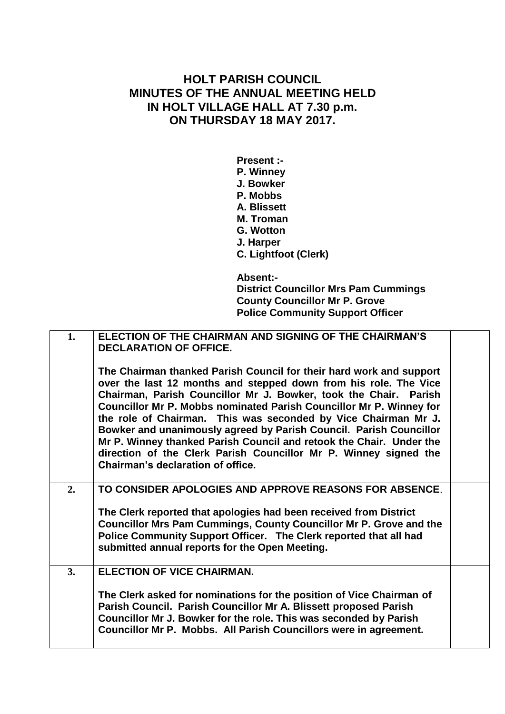## **HOLT PARISH COUNCIL MINUTES OF THE ANNUAL MEETING HELD IN HOLT VILLAGE HALL AT 7.30 p.m. ON THURSDAY 18 MAY 2017.**

**Present :- P. Winney J. Bowker P. Mobbs A. Blissett M. Troman G. Wotton J. Harper C. Lightfoot (Clerk) Absent:-**

**District Councillor Mrs Pam Cummings County Councillor Mr P. Grove Police Community Support Officer**

| 1. | ELECTION OF THE CHAIRMAN AND SIGNING OF THE CHAIRMAN'S<br><b>DECLARATION OF OFFICE.</b>                                                                                                                                                                                                                                                                                                                                                                                                                                                                                                                    |  |
|----|------------------------------------------------------------------------------------------------------------------------------------------------------------------------------------------------------------------------------------------------------------------------------------------------------------------------------------------------------------------------------------------------------------------------------------------------------------------------------------------------------------------------------------------------------------------------------------------------------------|--|
|    | The Chairman thanked Parish Council for their hard work and support<br>over the last 12 months and stepped down from his role. The Vice<br>Chairman, Parish Councillor Mr J. Bowker, took the Chair. Parish<br>Councillor Mr P. Mobbs nominated Parish Councillor Mr P. Winney for<br>the role of Chairman. This was seconded by Vice Chairman Mr J.<br>Bowker and unanimously agreed by Parish Council. Parish Councillor<br>Mr P. Winney thanked Parish Council and retook the Chair. Under the<br>direction of the Clerk Parish Councillor Mr P. Winney signed the<br>Chairman's declaration of office. |  |
| 2. | TO CONSIDER APOLOGIES AND APPROVE REASONS FOR ABSENCE.                                                                                                                                                                                                                                                                                                                                                                                                                                                                                                                                                     |  |
|    | The Clerk reported that apologies had been received from District<br><b>Councillor Mrs Pam Cummings, County Councillor Mr P. Grove and the</b><br>Police Community Support Officer. The Clerk reported that all had<br>submitted annual reports for the Open Meeting.                                                                                                                                                                                                                                                                                                                                      |  |
| 3. | <b>ELECTION OF VICE CHAIRMAN.</b>                                                                                                                                                                                                                                                                                                                                                                                                                                                                                                                                                                          |  |
|    | The Clerk asked for nominations for the position of Vice Chairman of<br>Parish Council. Parish Councillor Mr A. Blissett proposed Parish<br>Councillor Mr J. Bowker for the role. This was seconded by Parish<br>Councillor Mr P. Mobbs. All Parish Councillors were in agreement.                                                                                                                                                                                                                                                                                                                         |  |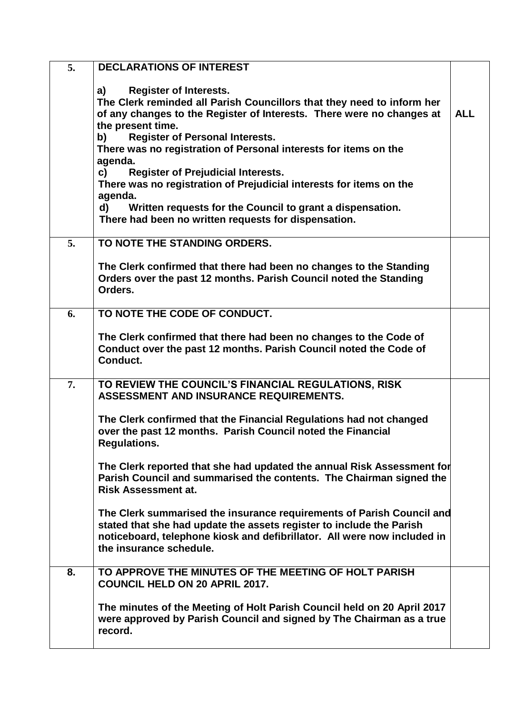| 5. | <b>DECLARATIONS OF INTEREST</b>                                                                                                                                                                                                                                                                                                            |            |
|----|--------------------------------------------------------------------------------------------------------------------------------------------------------------------------------------------------------------------------------------------------------------------------------------------------------------------------------------------|------------|
|    | <b>Register of Interests.</b><br>a)<br>The Clerk reminded all Parish Councillors that they need to inform her<br>of any changes to the Register of Interests. There were no changes at<br>the present time.<br><b>Register of Personal Interests.</b><br>b)<br>There was no registration of Personal interests for items on the<br>agenda. | <b>ALL</b> |
|    | c)<br><b>Register of Prejudicial Interests.</b><br>There was no registration of Prejudicial interests for items on the<br>agenda.<br>Written requests for the Council to grant a dispensation.<br>d)<br>There had been no written requests for dispensation.                                                                               |            |
|    |                                                                                                                                                                                                                                                                                                                                            |            |
| 5. | TO NOTE THE STANDING ORDERS.                                                                                                                                                                                                                                                                                                               |            |
|    | The Clerk confirmed that there had been no changes to the Standing<br>Orders over the past 12 months. Parish Council noted the Standing<br>Orders.                                                                                                                                                                                         |            |
| 6. | TO NOTE THE CODE OF CONDUCT.                                                                                                                                                                                                                                                                                                               |            |
|    | The Clerk confirmed that there had been no changes to the Code of<br>Conduct over the past 12 months. Parish Council noted the Code of<br>Conduct.                                                                                                                                                                                         |            |
| 7. | TO REVIEW THE COUNCIL'S FINANCIAL REGULATIONS, RISK<br>ASSESSMENT AND INSURANCE REQUIREMENTS.                                                                                                                                                                                                                                              |            |
|    | The Clerk confirmed that the Financial Regulations had not changed<br>over the past 12 months. Parish Council noted the Financial<br><b>Regulations.</b>                                                                                                                                                                                   |            |
|    | The Clerk reported that she had updated the annual Risk Assessment for<br>Parish Council and summarised the contents. The Chairman signed the<br><b>Risk Assessment at.</b>                                                                                                                                                                |            |
|    | The Clerk summarised the insurance requirements of Parish Council and<br>stated that she had update the assets register to include the Parish<br>noticeboard, telephone kiosk and defibrillator. All were now included in<br>the insurance schedule.                                                                                       |            |
| 8. | TO APPROVE THE MINUTES OF THE MEETING OF HOLT PARISH<br><b>COUNCIL HELD ON 20 APRIL 2017.</b>                                                                                                                                                                                                                                              |            |
|    | The minutes of the Meeting of Holt Parish Council held on 20 April 2017<br>were approved by Parish Council and signed by The Chairman as a true<br>record.                                                                                                                                                                                 |            |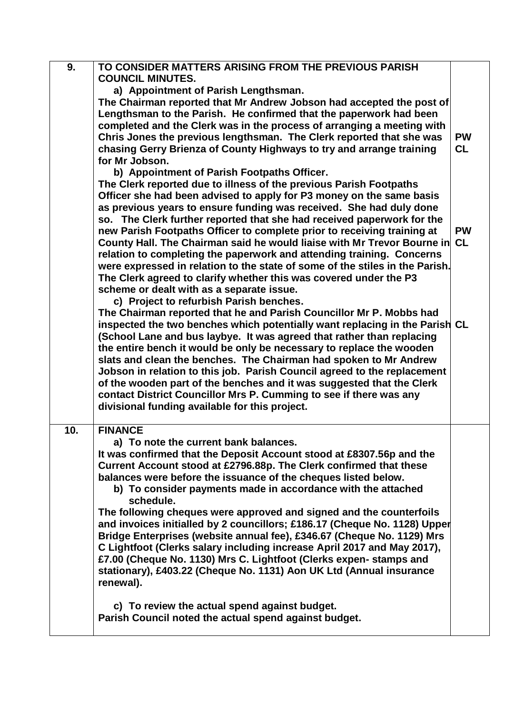| 9.  | TO CONSIDER MATTERS ARISING FROM THE PREVIOUS PARISH<br><b>COUNCIL MINUTES.</b>                                                                      |           |
|-----|------------------------------------------------------------------------------------------------------------------------------------------------------|-----------|
|     | a) Appointment of Parish Lengthsman.                                                                                                                 |           |
|     | The Chairman reported that Mr Andrew Jobson had accepted the post of                                                                                 |           |
|     | Lengthsman to the Parish. He confirmed that the paperwork had been                                                                                   |           |
|     | completed and the Clerk was in the process of arranging a meeting with                                                                               |           |
|     | Chris Jones the previous lengthsman. The Clerk reported that she was                                                                                 | <b>PW</b> |
|     | chasing Gerry Brienza of County Highways to try and arrange training                                                                                 | <b>CL</b> |
|     | for Mr Jobson.                                                                                                                                       |           |
|     | b) Appointment of Parish Footpaths Officer.                                                                                                          |           |
|     | The Clerk reported due to illness of the previous Parish Footpaths                                                                                   |           |
|     | Officer she had been advised to apply for P3 money on the same basis                                                                                 |           |
|     | as previous years to ensure funding was received. She had duly done                                                                                  |           |
|     | so. The Clerk further reported that she had received paperwork for the                                                                               |           |
|     | new Parish Footpaths Officer to complete prior to receiving training at                                                                              | <b>PW</b> |
|     | County Hall. The Chairman said he would liaise with Mr Trevor Bourne in CL                                                                           |           |
|     | relation to completing the paperwork and attending training. Concerns                                                                                |           |
|     | were expressed in relation to the state of some of the stiles in the Parish.                                                                         |           |
|     | The Clerk agreed to clarify whether this was covered under the P3                                                                                    |           |
|     | scheme or dealt with as a separate issue.                                                                                                            |           |
|     | c) Project to refurbish Parish benches.                                                                                                              |           |
|     | The Chairman reported that he and Parish Councillor Mr P. Mobbs had                                                                                  |           |
|     | inspected the two benches which potentially want replacing in the Parish CL<br>(School Lane and bus laybye. It was agreed that rather than replacing |           |
|     | the entire bench it would be only be necessary to replace the wooden                                                                                 |           |
|     | slats and clean the benches. The Chairman had spoken to Mr Andrew                                                                                    |           |
|     | Jobson in relation to this job. Parish Council agreed to the replacement                                                                             |           |
|     | of the wooden part of the benches and it was suggested that the Clerk                                                                                |           |
|     | contact District Councillor Mrs P. Cumming to see if there was any                                                                                   |           |
|     | divisional funding available for this project.                                                                                                       |           |
|     |                                                                                                                                                      |           |
| 10. | <b>FINANCE</b>                                                                                                                                       |           |
|     | a) To note the current bank balances.<br>It was confirmed that the Deposit Account stood at £8307.56p and the                                        |           |
|     | Current Account stood at £2796.88p. The Clerk confirmed that these                                                                                   |           |
|     | balances were before the issuance of the cheques listed below.                                                                                       |           |
|     | b) To consider payments made in accordance with the attached                                                                                         |           |
|     | schedule.                                                                                                                                            |           |
|     | The following cheques were approved and signed and the counterfoils                                                                                  |           |
|     | and invoices initialled by 2 councillors; £186.17 (Cheque No. 1128) Upper                                                                            |           |
|     | Bridge Enterprises (website annual fee), £346.67 (Cheque No. 1129) Mrs<br>C Lightfoot (Clerks salary including increase April 2017 and May 2017),    |           |
|     | £7.00 (Cheque No. 1130) Mrs C. Lightfoot (Clerks expen-stamps and                                                                                    |           |
|     | stationary), £403.22 (Cheque No. 1131) Aon UK Ltd (Annual insurance                                                                                  |           |
|     | renewal).                                                                                                                                            |           |
|     |                                                                                                                                                      |           |
|     | c) To review the actual spend against budget.                                                                                                        |           |
|     | Parish Council noted the actual spend against budget.                                                                                                |           |
|     |                                                                                                                                                      |           |